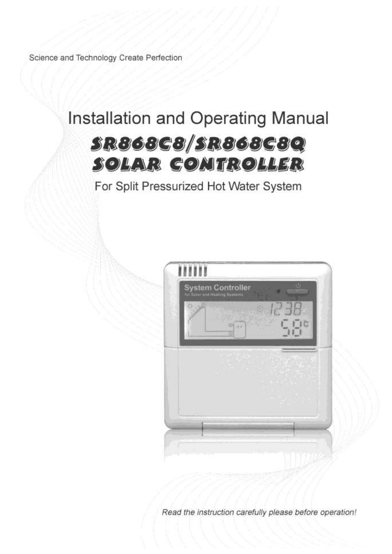Science and Technology Create Perfection

# Installation and Operating Manual SR868C8/SR868C8Q **SOLAR CONTROLLER**

For Split Pressurized Hot Water System



Read the instruction carefully please before operation!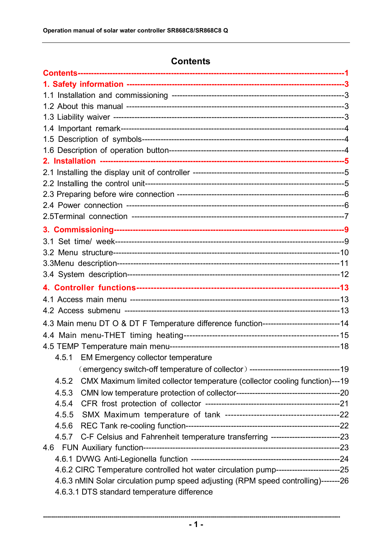# **Contents**

| EM Emergency collector temperature<br>4.5.1                                                 |  |
|---------------------------------------------------------------------------------------------|--|
| (emergency switch-off temperature of collector) ---------------------------------19         |  |
| CMX Maximum limited collector temperature (collector cooling function)---19<br>4.5.2        |  |
| 4.5.3                                                                                       |  |
| 4.5.4                                                                                       |  |
| 4.5.5                                                                                       |  |
| 4.5.6                                                                                       |  |
| C-F Celsius and Fahrenheit temperature transferring ----------------------------23<br>4.5.7 |  |
| 4.6                                                                                         |  |
|                                                                                             |  |
| 4.6.2 CIRC Temperature controlled hot water circulation pump--------------------------25    |  |
| 4.6.3 nMIN Solar circulation pump speed adjusting (RPM speed controlling)-------26          |  |
| 4.6.3.1 DTS standard temperature difference                                                 |  |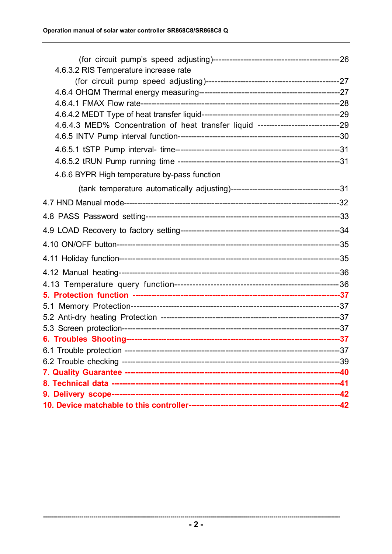| 4.6.3.2 RIS Temperature increase rate                                               |  |
|-------------------------------------------------------------------------------------|--|
|                                                                                     |  |
|                                                                                     |  |
|                                                                                     |  |
|                                                                                     |  |
| 4.6.4.3 MED% Concentration of heat transfer liquid ------------------------------29 |  |
|                                                                                     |  |
|                                                                                     |  |
|                                                                                     |  |
| 4.6.6 BYPR High temperature by-pass function                                        |  |
|                                                                                     |  |
|                                                                                     |  |
|                                                                                     |  |
|                                                                                     |  |
|                                                                                     |  |
|                                                                                     |  |
|                                                                                     |  |
|                                                                                     |  |
|                                                                                     |  |
|                                                                                     |  |
|                                                                                     |  |
|                                                                                     |  |
|                                                                                     |  |
|                                                                                     |  |
|                                                                                     |  |
|                                                                                     |  |
|                                                                                     |  |
|                                                                                     |  |
|                                                                                     |  |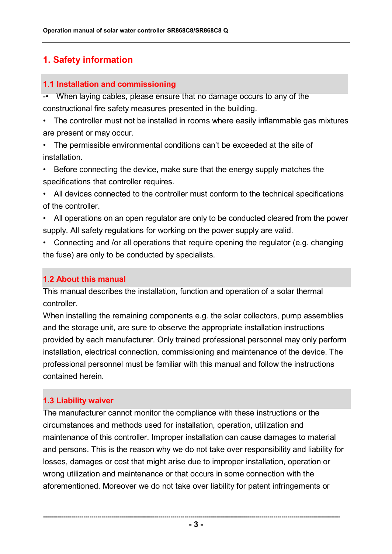# **1. Safety information**

# **1.1 Installation and commissioning**

-• When laying cables, please ensure that no damage occurs to any of the constructional fire safety measures presented in the building.

• The controller must not be installed in rooms where easily inflammable gas mixtures are present or may occur.

• The permissible environmental conditions can't be exceeded at the site of installation.

• Before connecting the device, make sure that the energy supply matches the specifications that controller requires.

• All devices connected to the controller must conform to the technical specifications of the controller.

• All operations on an open regulator are only to be conducted cleared from the power supply. All safety regulations for working on the power supply are valid.

• Connecting and /or all operations that require opening the regulator (e.g. changing the fuse) are only to be conducted by specialists.

# **1.2 About this manual**

This manual describes the installation, function and operation of a solar thermal controller.

When installing the remaining components e.g. the solar collectors, pump assemblies and the storage unit, are sure to observe the appropriate installation instructions provided by each manufacturer. Only trained professional personnel may only perform installation, electrical connection, commissioning and maintenance of the device. The professional personnel must be familiar with this manual and follow the instructions contained herein.

# **1.3 Liability waiver**

The manufacturer cannot monitor the compliance with these instructions or the circumstances and methods used for installation, operation, utilization and maintenance of this controller. Improper installation can cause damages to material and persons. This is the reason why we do not take over responsibility and liability for losses, damages or cost that might arise due to improper installation, operation or wrong utilization and maintenance or that occurs in some connection with the aforementioned. Moreover we do not take over liability for patent infringements or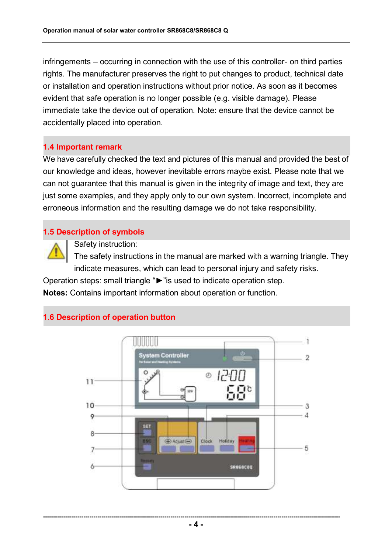infringements – occurring in connection with the use of this controller- on third parties rights. The manufacturer preserves the right to put changes to product, technical date or installation and operation instructions without prior notice. As soon as it becomes evident that safe operation is no longer possible (e.g. visible damage). Please immediate take the device out of operation. Note: ensure that the device cannot be accidentally placed into operation.

# **1.4 Important remark**

We have carefully checked the text and pictures of this manual and provided the best of our knowledge and ideas, however inevitable errors maybe exist. Please note that we can not guarantee that this manual is given in the integrity of image and text, they are just some examples, and they apply only to our own system. Incorrect, incomplete and erroneous information and the resulting damage we do not take responsibility.

# **1.5 Description of symbols**

Safety instruction:

The safety instructions in the manual are marked with a warning triangle. They indicate measures, which can lead to personal injury and safety risks.

Operation steps: small triangle "►"is used to indicate operation step.

**Notes:** Contains important information about operation or function.

# **1.6 Description of operation button**

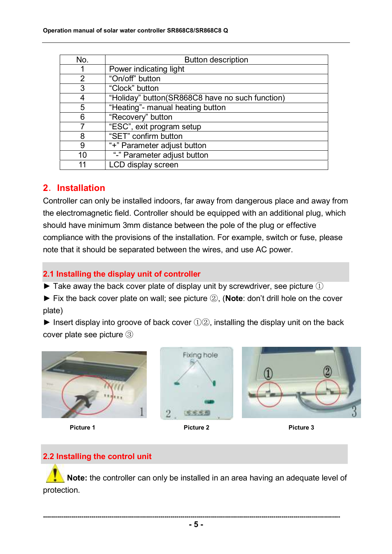| No. | <b>Button description</b>                       |
|-----|-------------------------------------------------|
|     | Power indicating light                          |
| 2   | "On/off" button                                 |
| 3   | "Clock" button                                  |
| 4   | "Holiday" button(SR868C8 have no such function) |
| 5   | "Heating"- manual heating button                |
| 6   | "Recovery" button                               |
|     | "ESC", exit program setup                       |
| 8   | "SET" confirm button                            |
| 9   | "+" Parameter adjust button                     |
| 10  | "-" Parameter adjust button                     |
| 11  | LCD display screen                              |

# **2**.**Installation**

Controller can only be installed indoors, far away from dangerous place and away from the electromagnetic field. Controller should be equipped with an additional plug, which should have minimum 3mm distance between the pole of the plug or effective compliance with the provisions of the installation. For example, switch or fuse, please note that it should be separated between the wires, and use AC power.

# **2.1 Installing the display unit of controller**

 $\blacktriangleright$  Take away the back cover plate of display unit by screwdriver, see picture  $\textcircled{\tiny{1}}$ 

► Fix the back cover plate on wall; see picture ②, (**Note**: don't drill hole on the cover plate)

 $\blacktriangleright$  Insert display into groove of back cover  $\lceil \cdot \rceil \cdot \lceil \cdot \rceil$  installing the display unit on the back cover plate see picture ③







# **2.2 Installing the control unit**

 **Note:** the controller can only be installed in an area having an adequate level of protection.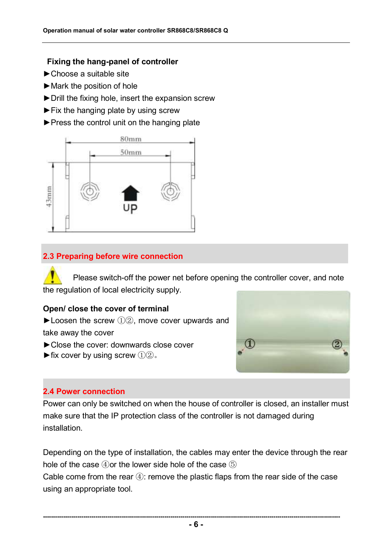### **Fixing the hang-panel of controller**

- ►Choose a suitable site
- ►Mark the position of hole
- ►Drill the fixing hole, insert the expansion screw
- ►Fix the hanging plate by using screw
- ▶ Press the control unit on the hanging plate



# **2.3 Preparing before wire connection**

 Please switch-off the power net before opening the controller cover, and note the regulation of local electricity supply.

#### **Open/ close the cover of terminal**

- $\blacktriangleright$  Loosen the screw  $(1)(2)$ , move cover upwards and take away the cover
- ►Close the cover: downwards close cover
- $\blacktriangleright$  fix cover by using screw  $\textcircled{1}\textcircled{2}$ .



# **2.4 Power connection**

Power can only be switched on when the house of controller is closed, an installer must make sure that the IP protection class of the controller is not damaged during installation.

Depending on the type of installation, the cables may enter the device through the rear hole of the case ①or the lower side hole of the case 5

Cable come from the rear ④: remove the plastic flaps from the rear side of the case using an appropriate tool.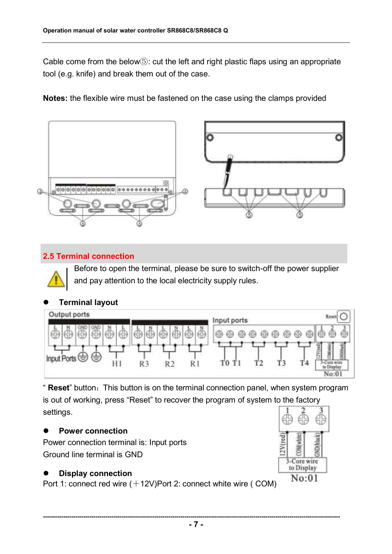Cable come from the below $\circledS$ : cut the left and right plastic flaps using an appropriate tool (e.g. knife) and break them out of the case.

**Notes:** the flexible wire must be fastened on the case using the clamps provided



# **2.5 Terminal connection**



Before to open the terminal, please be sure to switch-off the power supplier and pay attention to the local electricity supply rules.

# **Terminal layout**



" **Reset**" button:This button is on the terminal connection panel, when system program is out of working, press "Reset" to recover the program of system to the factory settings.

# **Power connection**

Power connection terminal is: Input ports Ground line terminal is GND

# **Display connection**

Port 1: connect red wire  $(+12V)$ Port 2: connect white wire (COM)

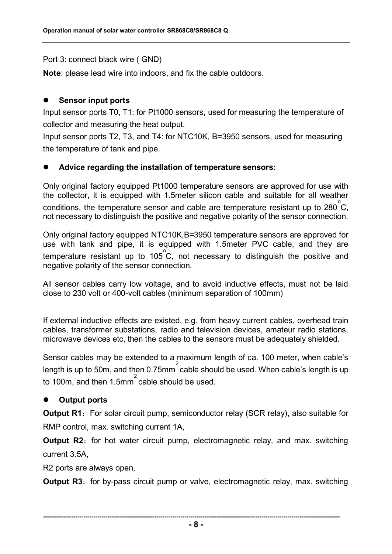Port 3: connect black wire ( GND)

**Note**: please lead wire into indoors, and fix the cable outdoors.

# **Sensor input ports**

Input sensor ports T0, T1: for Pt1000 sensors, used for measuring the temperature of collector and measuring the heat output.

Input sensor ports T2, T3, and T4: for NTC10K, B=3950 sensors, used for measuring the temperature of tank and pipe.

# **Advice regarding the installation of temperature sensors:**

Only original factory equipped Pt1000 temperature sensors are approved for use with the collector, it is equipped with 1.5meter silicon cable and suitable for all weather conditions, the temperature sensor and cable are temperature resistant up to 280 $^{\circ}$ C, not necessary to distinguish the positive and negative polarity of the sensor connection.

Only original factory equipped NTC10K,B=3950 temperature sensors are approved for use with tank and pipe, it is equipped with 1.5meter PVC cable, and they are temperature resistant up to 105°C, not necessary to distinguish the positive and negative polarity of the sensor connection.

All sensor cables carry low voltage, and to avoid inductive effects, must not be laid close to 230 volt or 400-volt cables (minimum separation of 100mm)

If external inductive effects are existed, e.g. from heavy current cables, overhead train cables, transformer substations, radio and television devices, amateur radio stations, microwave devices etc, then the cables to the sensors must be adequately shielded.

Sensor cables may be extended to a maximum length of ca. 100 meter, when cable's length is up to 50m, and then 0.75mm  $\frac{2}{3}$  cable should be used. When cable's length is up to 100m, and then 1.5mm $^2$  cable should be used.

# **Output ports**

**Output R1:** For solar circuit pump, semiconductor relay (SCR relay), also suitable for RMP control, max. switching current 1A,

**Output R2:** for hot water circuit pump, electromagnetic relay, and max. switching current 3.5A,

R2 ports are always open,

**Output R3:** for by-pass circuit pump or valve, electromagnetic relay, max. switching

**---------------------------------------------------------------------------------------------------------------------------------------------------**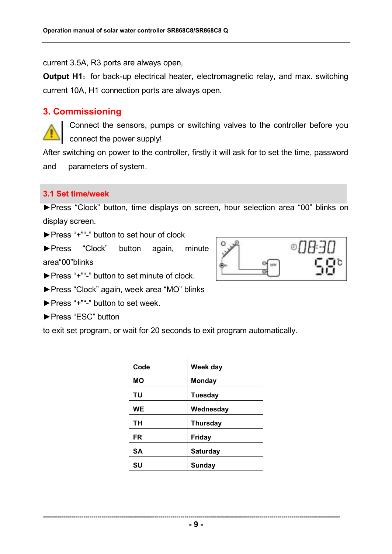current 3.5A, R3 ports are always open,

**Output H1:** for back-up electrical heater, electromagnetic relay, and max. switching current 10A, H1 connection ports are always open.

# **3. Commissioning**

Connect the sensors, pumps or switching valves to the controller before you connect the power supply!

After switching on power to the controller, firstly it will ask for to set the time, password and parameters of system.

#### **3.1 Set time/week**

►Press "Clock" button, time displays on screen, hour selection area "00" blinks on display screen.

►Press "+""-" button to set hour of clock

►Press "Clock" button again, minute area"00"blinks

- ►Press "+""-" button to set minute of clock.
- ►Press "Clock" again, week area "MO" blinks
- ►Press "+""-" button to set week.
- ►Press "ESC" button

to exit set program, or wait for 20 seconds to exit program automatically.

| Code      | Week day        |
|-----------|-----------------|
| <b>MO</b> | Monday          |
| ΤU        | <b>Tuesday</b>  |
| <b>WE</b> | Wednesday       |
| ΤН        | <b>Thursday</b> |
| FR        | <b>Friday</b>   |
| SΑ        | <b>Saturday</b> |
| SU        | <b>Sunday</b>   |

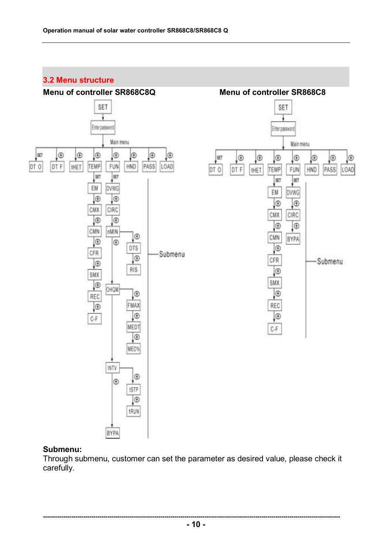# **3.2 Menu structure**



#### **Submenu:**

Through submenu, customer can set the parameter as desired value, please check it carefully.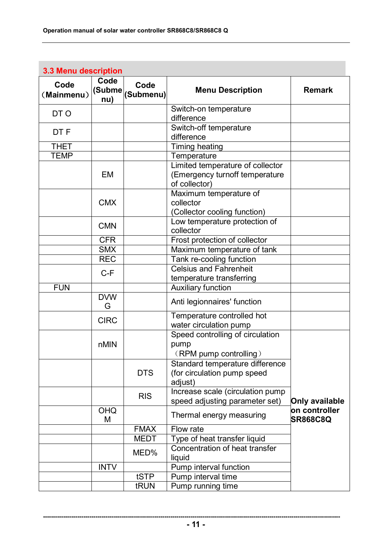| 3.3 Menu description |                 |                            |                                                                           |                                  |
|----------------------|-----------------|----------------------------|---------------------------------------------------------------------------|----------------------------------|
| Code<br>(Mainmenu)   | Code<br>nu)     | Code<br>$(Subme$ (Submenu) | <b>Menu Description</b>                                                   | <b>Remark</b>                    |
| DT O                 |                 |                            | Switch-on temperature<br>difference                                       |                                  |
|                      |                 |                            | Switch-off temperature                                                    |                                  |
| DT <sub>F</sub>      |                 |                            | difference                                                                |                                  |
| <b>THET</b>          |                 |                            | Timing heating                                                            |                                  |
| <b>TEMP</b>          |                 |                            | Temperature                                                               |                                  |
|                      |                 |                            | Limited temperature of collector                                          |                                  |
|                      | <b>EM</b>       |                            | (Emergency turnoff temperature<br>of collector)                           |                                  |
|                      | <b>CMX</b>      |                            | Maximum temperature of<br>collector<br>(Collector cooling function)       |                                  |
|                      | <b>CMN</b>      |                            | Low temperature protection of<br>collector                                |                                  |
|                      | <b>CFR</b>      |                            | Frost protection of collector                                             |                                  |
|                      | <b>SMX</b>      |                            | Maximum temperature of tank                                               |                                  |
|                      | <b>REC</b>      |                            | Tank re-cooling function                                                  |                                  |
|                      | $C-F$           |                            | <b>Celsius and Fahrenheit</b>                                             |                                  |
|                      |                 |                            | temperature transferring                                                  |                                  |
| <b>FUN</b>           |                 |                            | <b>Auxiliary function</b>                                                 |                                  |
|                      | <b>DVW</b><br>G |                            | Anti legionnaires' function                                               |                                  |
|                      | <b>CIRC</b>     |                            | Temperature controlled hot<br>water circulation pump                      |                                  |
|                      | nMIN            |                            | Speed controlling of circulation<br>pump<br>(RPM pump controlling)        |                                  |
|                      |                 | <b>DTS</b>                 | Standard temperature difference<br>(for circulation pump speed<br>adjust) |                                  |
|                      |                 | <b>RIS</b>                 | Increase scale (circulation pump<br>speed adjusting parameter set)        | Only available                   |
|                      | OHQ<br>M        |                            | Thermal energy measuring                                                  | on controller<br><b>SR868C8Q</b> |
|                      |                 | <b>FMAX</b>                | Flow rate                                                                 |                                  |
|                      |                 | <b>MEDT</b>                | Type of heat transfer liquid                                              |                                  |
|                      |                 | MED%                       | Concentration of heat transfer<br>liquid                                  |                                  |
|                      | <b>INTV</b>     |                            | Pump interval function                                                    |                                  |
|                      |                 | tSTP                       | Pump interval time                                                        |                                  |
|                      |                 | tRUN                       | Pump running time                                                         |                                  |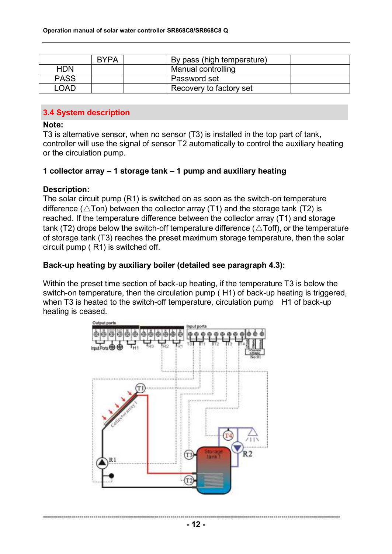|             | <b>BYPA</b> | By pass (high temperature) |  |
|-------------|-------------|----------------------------|--|
| <b>HDN</b>  |             | Manual controlling         |  |
| <b>PASS</b> |             | Password set               |  |
| LOAD        |             | Recovery to factory set    |  |

#### **3.4 System description**

#### **Note:**

T3 is alternative sensor, when no sensor (T3) is installed in the top part of tank, controller will use the signal of sensor T2 automatically to control the auxiliary heating or the circulation pump.

#### **1 collector array – 1 storage tank – 1 pump and auxiliary heating**

#### **Description:**

The solar circuit pump (R1) is switched on as soon as the switch-on temperature difference ( $\triangle$ Ton) between the collector array (T1) and the storage tank (T2) is reached. If the temperature difference between the collector array (T1) and storage tank (T2) drops below the switch-off temperature difference ( $\triangle$ Toff), or the temperature of storage tank (T3) reaches the preset maximum storage temperature, then the solar circuit pump ( R1) is switched off.

#### **Back-up heating by auxiliary boiler (detailed see paragraph 4.3):**

Within the preset time section of back-up heating, if the temperature T3 is below the switch-on temperature, then the circulation pump ( H1) of back-up heating is triggered, when T3 is heated to the switch-off temperature, circulation pump H1 of back-up heating is ceased.

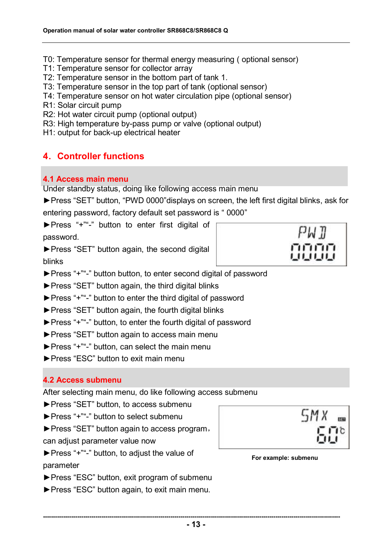- T0: Temperature sensor for thermal energy measuring ( optional sensor)
- T1: Temperature sensor for collector array
- T2: Temperature sensor in the bottom part of tank 1.
- T3: Temperature sensor in the top part of tank (optional sensor)
- T4: Temperature sensor on hot water circulation pipe (optional sensor)
- R1: Solar circuit pump
- R2: Hot water circuit pump (optional output)
- R3: High temperature by-pass pump or valve (optional output)
- H1: output for back-up electrical heater

# **4**.**Controller functions**

#### **4.1 Access main menu**

Under standby status, doing like following access main menu

►Press "SET" button, "PWD 0000"displays on screen, the left first digital blinks, ask for entering password, factory default set password is " 0000"

►Press "+""-" button to enter first digital of password.

►Press "SET" button again, the second digital blinks

►Press "+""-" button button, to enter second digital of password

►Press "SET" button again, the third digital blinks

- ►Press "+""-" button to enter the third digital of password
- ►Press "SET" button again, the fourth digital blinks
- ►Press "+""-" button, to enter the fourth digital of password
- ►Press "SET" button again to access main menu
- ►Press "+""-" button, can select the main menu
- ►Press "ESC" button to exit main menu

#### **4.2 Access submenu**

After selecting main menu, do like following access submenu

- ►Press "SET" button, to access submenu
- ►Press "+""-" button to select submenu
- ►Press "SET" button again to access program,

can adjust parameter value now

- ►Press "+""-" button, to adjust the value of parameter
- ►Press "ESC" button, exit program of submenu
- ►Press "ESC" button again, to exit main menu.



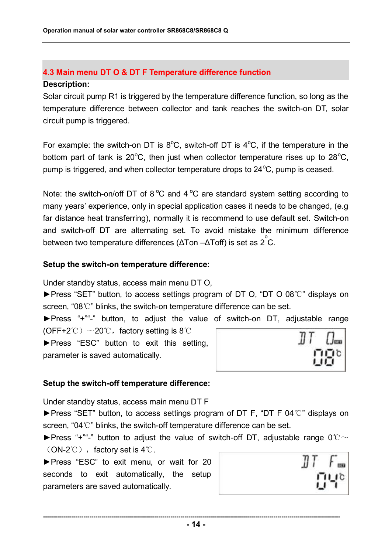# **4.3 Main menu DT O & DT F Temperature difference function**

#### **Description:**

Solar circuit pump R1 is triggered by the temperature difference function, so long as the temperature difference between collector and tank reaches the switch-on DT, solar circuit pump is triggered.

For example: the switch-on DT is  $8^{\circ}$ C, switch-off DT is  $4^{\circ}$ C, if the temperature in the bottom part of tank is  $20^{\circ}$ C, then just when collector temperature rises up to  $28^{\circ}$ C, pump is triggered, and when collector temperature drops to  $24^{\circ}$ C, pump is ceased.

Note: the switch-on/off DT of 8  $^{\circ}$ C and 4  $^{\circ}$ C are standard system setting according to many years' experience, only in special application cases it needs to be changed, (e.g far distance heat transferring), normally it is recommend to use default set. Switch-on and switch-off DT are alternating set. To avoid mistake the minimum difference between two temperature differences (ΔTon  $-\Delta$ Toff) is set as 2<sup>°</sup>C.

### **Setup the switch-on temperature difference:**

Under standby status, access main menu DT O,

►Press "SET" button, to access settings program of DT O, "DT O 08℃" displays on screen, "08℃" blinks, the switch-on temperature difference can be set.

►Press "+""-" button, to adjust the value of switch-on DT, adjustable range

(OFF+2℃)  $\sim$ 20℃, factory setting is 8℃ ►Press "ESC" button to exit this setting, parameter is saved automatically.

| т | $1 -$<br>÷ |
|---|------------|
|   | .          |

# **Setup the switch-off temperature difference:**

Under standby status, access main menu DT F

►Press "SET" button, to access settings program of DT F, "DT F 04℃" displays on screen, "04℃" blinks, the switch-off temperature difference can be set.

► Press "+""-" button to adjust the value of switch-off DT, adjustable range 0°C $\sim$  $(ON-2^{\circ}\mathbb{C})$ , factory set is 4 $^{\circ}\mathbb{C}$ .

►Press "ESC" to exit menu, or wait for 20 seconds to exit automatically, the setup parameters are saved automatically.

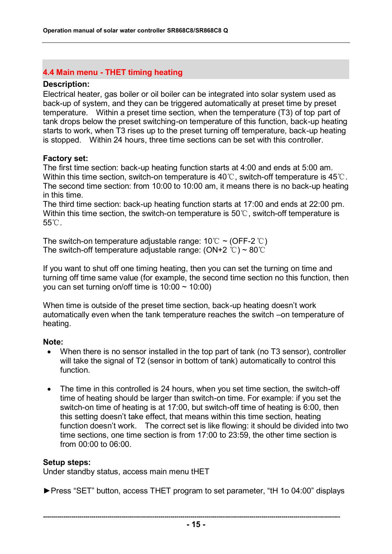# **4.4 Main menu - THET timing heating**

#### **Description:**

Electrical heater, gas boiler or oil boiler can be integrated into solar system used as back-up of system, and they can be triggered automatically at preset time by preset temperature. Within a preset time section, when the temperature (T3) of top part of tank drops below the preset switching-on temperature of this function, back-up heating starts to work, when T3 rises up to the preset turning off temperature, back-up heating is stopped. Within 24 hours, three time sections can be set with this controller.

#### **Factory set:**

The first time section: back-up heating function starts at 4:00 and ends at 5:00 am. Within this time section, switch-on temperature is 40℃, switch-off temperature is 45℃. The second time section: from 10:00 to 10:00 am, it means there is no back-up heating in this time.

The third time section: back-up heating function starts at 17:00 and ends at 22:00 pm. Within this time section, the switch-on temperature is 50℃, switch-off temperature is 55℃.

The switch-on temperature adjustable range:  $10^{\circ}$   $\sim$  (OFF-2  $\circ$ ) The switch-off temperature adjustable range:  $(ON+2^{\circ}C) \sim 80^{\circ}C$ 

If you want to shut off one timing heating, then you can set the turning on time and turning off time same value (for example, the second time section no this function, then you can set turning on/off time is  $10:00 \sim 10:00$ )

When time is outside of the preset time section, back-up heating doesn't work automatically even when the tank temperature reaches the switch –on temperature of heating.

#### **Note:**

- When there is no sensor installed in the top part of tank (no T3 sensor), controller will take the signal of T2 (sensor in bottom of tank) automatically to control this function.
- The time in this controlled is 24 hours, when you set time section, the switch-off time of heating should be larger than switch-on time. For example: if you set the switch-on time of heating is at 17:00, but switch-off time of heating is 6:00, then this setting doesn't take effect, that means within this time section, heating function doesn't work. The correct set is like flowing: it should be divided into two time sections, one time section is from 17:00 to 23:59, the other time section is from 00:00 to 06:00.

#### **Setup steps:**

Under standby status, access main menu tHET

►Press "SET" button, access THET program to set parameter, "tH 1o 04:00" displays

**---------------------------------------------------------------------------------------------------------------------------------------------------**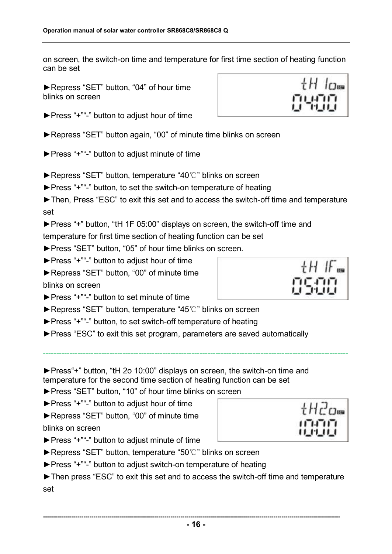on screen, the switch-on time and temperature for first time section of heating function can be set

►Repress "SET" button, "04" of hour time blinks on screen

- ►Press "+""-" button to adjust hour of time
- ► Repress "SET" button again, "00" of minute time blinks on screen
- ►Press "+""-" button to adjust minute of time
- ►Repress "SET" button, temperature "40℃" blinks on screen
- ►Press "+""-" button, to set the switch-on temperature of heating
- ►Then, Press "ESC" to exit this set and to access the switch-off time and temperature set
- ►Press "+" button, "tH 1F 05:00" displays on screen, the switch-off time and
- temperature for first time section of heating function can be set
- ►Press "SET" button, "05" of hour time blinks on screen.
- ►Press "+""-" button to adjust hour of time
- ►Repress "SET" button, "00" of minute time

blinks on screen

- ►Press "+""-" button to set minute of time
- ►Repress "SET" button, temperature "45℃" blinks on screen
- ►Press "+""-" button, to set switch-off temperature of heating
- ►Press "ESC" to exit this set program, parameters are saved automatically

-------------------------------------------------------------------------------------------------------------------

►Press"+" button, "tH 2o 10:00" displays on screen, the switch-on time and temperature for the second time section of heating function can be set

- ►Press "SET" button, "10" of hour time blinks on screen
- ►Press "+""-" button to adjust hour of time
- ►Repress "SET" button, "00" of minute time





- ►Press "+""-" button to adjust minute of time
- ►Repress "SET" button, temperature "50℃" blinks on screen
- ►Press "+""-" button to adjust switch-on temperature of heating

►Then press "ESC" to exit this set and to access the switch-off time and temperature set



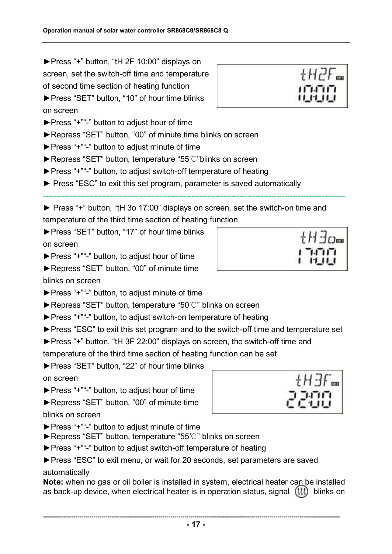- ►Press "+""-" button, to adjust switch-on temperature of heating
- ►Press "ESC" to exit this set program and to the switch-off time and temperature set
- ►Press "+" button, "tH 3F 22:00" displays on screen, the switch-off time and

temperature of the third time section of heating function can be set

►Press "SET" button, "22" of hour time blinks

# on screen

on screen

on screen

blinks on screen

- ►Press "+""-" button, to adjust hour of time
- ►Repress "SET" button, "00" of minute time blinks on screen
- ►Press "+""-" button to adjust minute of time
- ►Repress "SET" button, temperature "55℃" blinks on screen
- ►Press "+""-" button to adjust switch-off temperature of heating
- ►Press "ESC" to exit menu, or wait for 20 seconds, set parameters are saved

# automatically

**Note:** when no gas or oil boiler is installed in system, electrical heater can be installed as back-up device, when electrical heater is in operation status, signal  $(\mathfrak{t}\mathfrak{t})$  blinks on

►Press "+" button, "tH 2F 10:00" displays on screen, set the switch-off time and temperature

of second time section of heating function ►Press "SET" button, "10" of hour time blinks

►Press "+""-" button to adjust hour of time

►Press "+""-" button to adjust minute of time

►Press "SET" button, "17" of hour time blinks

►Press "+""-" button, to adjust hour of time ►Repress "SET" button, "00" of minute time

►Press "+""-" button, to adjust minute of time

► Repress "SET" button, "00" of minute time blinks on screen

►Repress "SET" button, temperature "55℃"blinks on screen ►Press "+""-" button, to adjust switch-off temperature of heating

► Press "ESC" to exit this set program, parameter is saved automatically

------------------------------------------------------------------------------------------------------------------ ► Press "+" button, "tH 3o 17:00" displays on screen, set the switch-on time and



tH2F⊞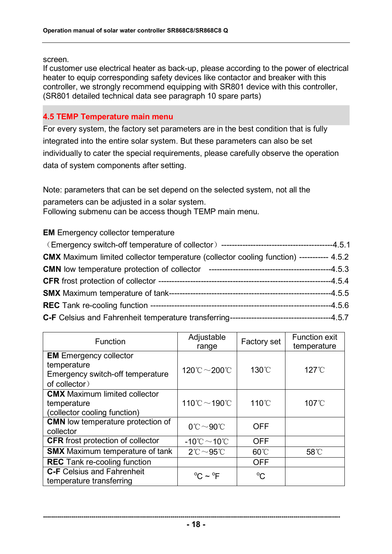screen.

If customer use electrical heater as back-up, please according to the power of electrical heater to equip corresponding safety devices like contactor and breaker with this controller, we strongly recommend equipping with SR801 device with this controller, (SR801 detailed technical data see paragraph 10 spare parts)

# **4.5 TEMP Temperature main menu**

For every system, the factory set parameters are in the best condition that is fully integrated into the entire solar system. But these parameters can also be set individually to cater the special requirements, please carefully observe the operation data of system components after setting.

Note: parameters that can be set depend on the selected system, not all the parameters can be adjusted in a solar system. Following submenu can be access though TEMP main menu.

# **EM** Emergency collector temperature

| <b>CMX</b> Maximum limited collector temperature (collector cooling function) ----------- 4.5.2 |  |
|-------------------------------------------------------------------------------------------------|--|
|                                                                                                 |  |
|                                                                                                 |  |
|                                                                                                 |  |
|                                                                                                 |  |
|                                                                                                 |  |

| Function                                                                                          | Adjustable<br>range                          | Factory set     | Function exit<br>temperature |
|---------------------------------------------------------------------------------------------------|----------------------------------------------|-----------------|------------------------------|
| <b>EM</b> Emergency collector<br>temperature<br>Emergency switch-off temperature<br>of collector) | 120℃~200℃                                    | $130^{\circ}$ C | $127^{\circ}$ C              |
| <b>CMX</b> Maximum limited collector<br>temperature<br>(collector cooling function)               | 110 $^{\circ}$ C $\sim$ 190 $^{\circ}$ C     | 110℃            | $107^{\circ}$ C              |
| <b>CMN</b> low temperature protection of<br>collector                                             | $0^\circ\text{C}\!\sim\!90^\circ\!\text{C}$  | <b>OFF</b>      |                              |
| <b>CFR</b> frost protection of collector                                                          | -10℃ $\sim$ 10℃                              | <b>OFF</b>      |                              |
| <b>SMX</b> Maximum temperature of tank                                                            | $2^{\circ}\text{C} \sim 95^{\circ}\text{C}$  | $60^{\circ}$    | 58°C                         |
| <b>REC</b> Tank re-cooling function                                                               |                                              | <b>OFF</b>      |                              |
| <b>C-F</b> Celsius and Fahrenheit<br>temperature transferring                                     | $\mathrm{^{\circ}C} \sim \mathrm{^{\circ}F}$ | $^{\circ}C$     |                              |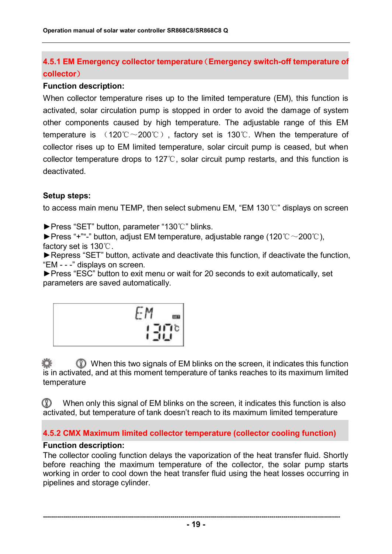# **4.5.1 EM Emergency collector temperature**(**Emergency switch-off temperature of collector**)

# **Function description:**

When collector temperature rises up to the limited temperature (EM), this function is activated, solar circulation pump is stopped in order to avoid the damage of system other components caused by high temperature. The adjustable range of this EM temperature is  $(120^{\circ}\text{C} \sim 200^{\circ}\text{C})$ , factory set is 130°C. When the temperature of collector rises up to EM limited temperature, solar circuit pump is ceased, but when collector temperature drops to 127℃, solar circuit pump restarts, and this function is deactivated.

# **Setup steps:**

to access main menu TEMP, then select submenu EM, "EM 130℃" displays on screen

►Press "SET" button, parameter "130℃" blinks.

► Press "+""-" button, adjust EM temperature, adjustable range (120 °C  $\sim$  200 °C), factory set is 130℃.

►Repress "SET" button, activate and deactivate this function, if deactivate the function, "EM - - -" displays on screen.

►Press "ESC" button to exit menu or wait for 20 seconds to exit automatically, set parameters are saved automatically.

$$
E_{130}^{\rm m}
$$

益 When this two signals of EM blinks on the screen, it indicates this function is in activated, and at this moment temperature of tanks reaches to its maximum limited temperature

When only this signal of EM blinks on the screen, it indicates this function is also Q) activated, but temperature of tank doesn't reach to its maximum limited temperature

# **4.5.2 CMX Maximum limited collector temperature (collector cooling function)**

#### **Function description:**

The collector cooling function delays the vaporization of the heat transfer fluid. Shortly before reaching the maximum temperature of the collector, the solar pump starts working in order to cool down the heat transfer fluid using the heat losses occurring in pipelines and storage cylinder.

**---------------------------------------------------------------------------------------------------------------------------------------------------**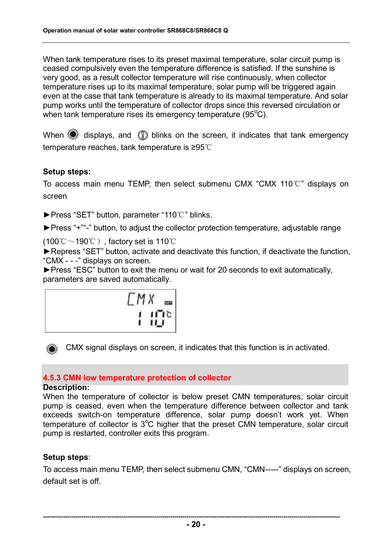When tank temperature rises to its preset maximal temperature, solar circuit pump is ceased compulsively even the temperature difference is satisfied. If the sunshine is very good, as a result collector temperature will rise continuously, when collector temperature rises up to its maximal temperature, solar pump will be triggered again even at the case that tank temperature is already to its maximal temperature. And solar pump works until the temperature of collector drops since this reversed circulation or when tank temperature rises its emergency temperature  $(95^{\circ}C)$ .

When  $\mathcal{L}$  displays, and  $\mathbb Q$  blinks on the screen, it indicates that tank emergency temperature reaches, tank temperature is ≥95℃

### **Setup steps:**

To access main menu TEMP, then select submenu CMX "CMX 110℃" displays on screen

►Press "SET" button, parameter "110℃" blinks.

►Press "+""-" button, to adjust the collector protection temperature, adjustable range

(100℃ $\sim$ 190℃), factory set is 110℃

►Repress "SET" button, activate and deactivate this function, if deactivate the function, "CMX - - -" displays on screen.

►Press "ESC" button to exit the menu or wait for 20 seconds to exit automatically, parameters are saved automatically.





CMX signal displays on screen, it indicates that this function is in activated.

#### **4.5.3 CMN low temperature protection of collector**

#### **Description:**

When the temperature of collector is below preset CMN temperatures, solar circuit pump is ceased, even when the temperature difference between collector and tank exceeds switch-on temperature difference, solar pump doesn't work yet. When temperature of collector is  $3^{\circ}$ C higher that the preset CMN temperature, solar circuit pump is restarted, controller exits this program.

#### **Setup steps**:

To access main menu TEMP, then select submenu CMN, "CMN-----" displays on screen, default set is off.

**---------------------------------------------------------------------------------------------------------------------------------------------------**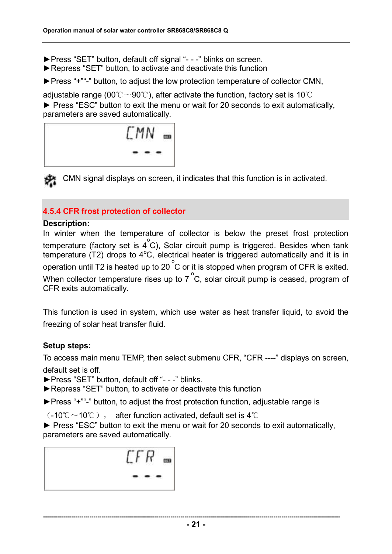- ►Press "SET" button, default off signal "- -" blinks on screen.
- ►Repress "SET" button, to activate and deactivate this function

►Press "+""-" button, to adjust the low protection temperature of collector CMN,

adjustable range (00℃ $\sim$ 90℃), after activate the function, factory set is 10℃ ► Press "ESC" button to exit the menu or wait for 20 seconds to exit automatically, parameters are saved automatically.

$$
LMN =
$$

CMN signal displays on screen, it indicates that this function is in activated.

# **4.5.4 CFR frost protection of collector**

#### **Description:**

In winter when the temperature of collector is below the preset frost protection temperature (factory set is  $\overset{\circ}{4}^{\circ}$ C), Solar circuit pump is triggered. Besides when tank temperature  $(T2)$  drops to  $4^{\circ}$ C, electrical heater is triggered automatically and it is in operation until T2 is heated up to 20 °C or it is stopped when program of CFR is exited. When collector temperature rises up to  $7^\circ$ C, solar circuit pump is ceased, program of CFR exits automatically.

This function is used in system, which use water as heat transfer liquid, to avoid the freezing of solar heat transfer fluid.

#### **Setup steps:**

To access main menu TEMP, then select submenu CFR, "CFR ----" displays on screen, default set is off.

- ►Press "SET" button, default off "- -" blinks.
- ► Repress "SET" button, to activate or deactivate this function
- ►Press "+""-" button, to adjust the frost protection function, adjustable range is
- $($ -10℃ $\sim$ 10℃), after function activated, default set is 4℃
- ► Press "ESC" button to exit the menu or wait for 20 seconds to exit automatically, parameters are saved automatically.

$$
\begin{array}{c}\n\text{C} \,F \,R \quad \text{as} \\
\hline\n\end{array}
$$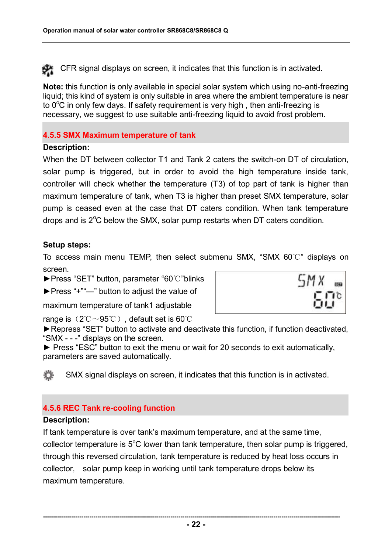CFR signal displays on screen, it indicates that this function is in activated.

**Note:** this function is only available in special solar system which using no-anti-freezing liquid; this kind of system is only suitable in area where the ambient temperature is near to  $0^{\circ}$ C in only few days. If safety requirement is very high, then anti-freezing is necessary, we suggest to use suitable anti-freezing liquid to avoid frost problem.

### **4.5.5 SMX Maximum temperature of tank**

#### **Description:**

When the DT between collector T1 and Tank 2 caters the switch-on DT of circulation, solar pump is triggered, but in order to avoid the high temperature inside tank, controller will check whether the temperature (T3) of top part of tank is higher than maximum temperature of tank, when T3 is higher than preset SMX temperature, solar pump is ceased even at the case that DT caters condition. When tank temperature drops and is  $2^{\circ}$ C below the SMX, solar pump restarts when DT caters condition.

#### **Setup steps:**

To access main menu TEMP, then select submenu SMX, "SMX 60℃" displays on screen.

►Press "SET" button, parameter "60℃"blinks

►Press "+""―" button to adjust the value of

maximum temperature of tank1 adjustable

range is  $(2^{\circ}\text{C} \sim 95^{\circ}\text{C})$ , default set is 60°C

►Repress "SET" button to activate and deactivate this function, if function deactivated, "SMX - - -" displays on the screen.

► Press "ESC" button to exit the menu or wait for 20 seconds to exit automatically, parameters are saved automatically.

迕 SMX signal displays on screen, it indicates that this function is in activated.

# **4.5.6 REC Tank re-cooling function**

# **Description:**

If tank temperature is over tank's maximum temperature, and at the same time, collector temperature is  $5^{\circ}$ C lower than tank temperature, then solar pump is triggered, through this reversed circulation, tank temperature is reduced by heat loss occurs in collector, solar pump keep in working until tank temperature drops below its maximum temperature.

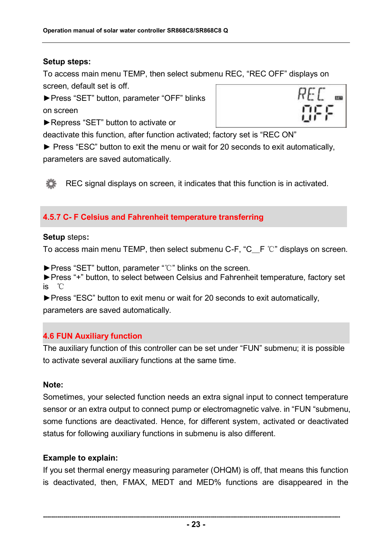#### **Setup steps:**

To access main menu TEMP, then select submenu REC, "REC OFF" displays on screen, default set is off.

►Press "SET" button, parameter "OFF" blinks on screen



►Repress "SET" button to activate or

deactivate this function, after function activated; factory set is "REC ON"

► Press "ESC" button to exit the menu or wait for 20 seconds to exit automatically, parameters are saved automatically.

益 REC signal displays on screen, it indicates that this function is in activated.

# **4.5.7 C- F Celsius and Fahrenheit temperature transferring**

#### **Setup** steps**:**

To access main menu TEMP, then select submenu C-F, "C F ℃" displays on screen.

►Press "SET" button, parameter "℃" blinks on the screen.

►Press "+" button, to select between Celsius and Fahrenheit temperature, factory set is ℃

►Press "ESC" button to exit menu or wait for 20 seconds to exit automatically, parameters are saved automatically.

# **4.6 FUN Auxiliary function**

The auxiliary function of this controller can be set under "FUN" submenu; it is possible to activate several auxiliary functions at the same time.

# **Note:**

Sometimes, your selected function needs an extra signal input to connect temperature sensor or an extra output to connect pump or electromagnetic valve. in "FUN "submenu, some functions are deactivated. Hence, for different system, activated or deactivated status for following auxiliary functions in submenu is also different.

# **Example to explain:**

If you set thermal energy measuring parameter (OHQM) is off, that means this function is deactivated, then, FMAX, MEDT and MED% functions are disappeared in the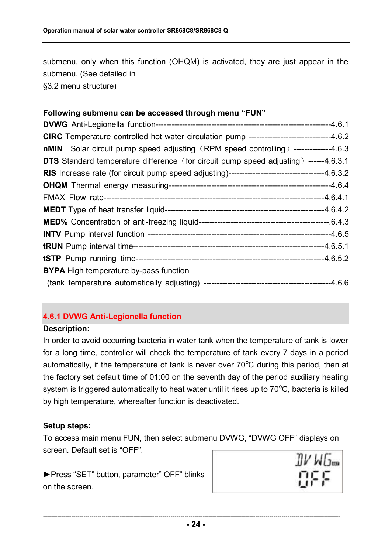submenu, only when this function (OHQM) is activated, they are just appear in the submenu. (See detailed in §3.2 menu structure)

#### **Following submenu can be accessed through menu "FUN"**

| CIRC Temperature controlled hot water circulation pump -----------------------------4.6.2     |  |
|-----------------------------------------------------------------------------------------------|--|
| nMIN Solar circuit pump speed adjusting (RPM speed controlling) --------------4.6.3           |  |
| <b>DTS</b> Standard temperature difference (for circuit pump speed adjusting) ------4.6.3.1   |  |
| RIS Increase rate (for circuit pump speed adjusting)----------------------------------4.6.3.2 |  |
|                                                                                               |  |
|                                                                                               |  |
|                                                                                               |  |
|                                                                                               |  |
|                                                                                               |  |
|                                                                                               |  |
|                                                                                               |  |
| <b>BYPA</b> High temperature by-pass function                                                 |  |
|                                                                                               |  |

# **4.6.1 DVWG Anti-Legionella function**

#### **Description:**

In order to avoid occurring bacteria in water tank when the temperature of tank is lower for a long time, controller will check the temperature of tank every 7 days in a period automatically, if the temperature of tank is never over  $70^{\circ}$ C during this period, then at the factory set default time of 01:00 on the seventh day of the period auxiliary heating system is triggered automatically to heat water until it rises up to 70 $\mathrm{^{\circ}C}$ , bacteria is killed by high temperature, whereafter function is deactivated.

# **Setup steps:**

To access main menu FUN, then select submenu DVWG, "DVWG OFF" displays on screen. Default set is "OFF".

►Press "SET" button, parameter" OFF" blinks on the screen.

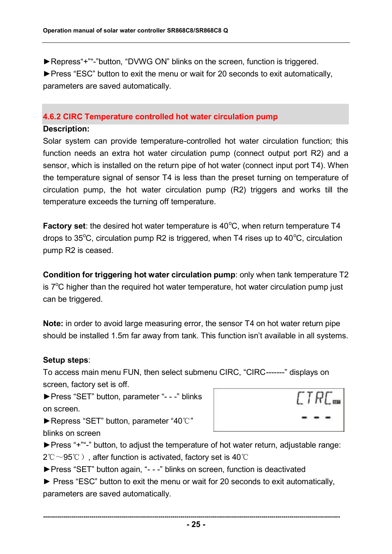►Repress"+""-"button, "DVWG ON" blinks on the screen, function is triggered.

►Press "ESC" button to exit the menu or wait for 20 seconds to exit automatically, parameters are saved automatically.

#### **4.6.2 CIRC Temperature controlled hot water circulation pump**

#### **Description:**

Solar system can provide temperature-controlled hot water circulation function; this function needs an extra hot water circulation pump (connect output port R2) and a sensor, which is installed on the return pipe of hot water (connect input port T4). When the temperature signal of sensor T4 is less than the preset turning on temperature of circulation pump, the hot water circulation pump (R2) triggers and works till the temperature exceeds the turning off temperature.

**Factory set**: the desired hot water temperature is 40<sup>o</sup>C, when return temperature T4 drops to 35<sup>o</sup>C, circulation pump R2 is triggered, when T4 rises up to 40<sup>o</sup>C, circulation pump R2 is ceased.

**Condition for triggering hot water circulation pump**: only when tank temperature T2 is  $7^{\circ}$ C higher than the required hot water temperature, hot water circulation pump just can be triggered.

**Note:** in order to avoid large measuring error, the sensor T4 on hot water return pipe should be installed 1.5m far away from tank. This function isn't available in all systems.

#### **Setup steps**:

To access main menu FUN, then select submenu CIRC, "CIRC-------" displays on screen, factory set is off.

►Press "SET" button, parameter "- - -" blinks on screen.

►Repress "SET" button, parameter "40℃"

CTRC.

blinks on screen

►Press "+""-" button, to adjust the temperature of hot water return, adjustable range:

2℃~95℃), after function is activated, factory set is 40℃

►Press "SET" button again, "- - -" blinks on screen, function is deactivated

► Press "ESC" button to exit the menu or wait for 20 seconds to exit automatically, parameters are saved automatically.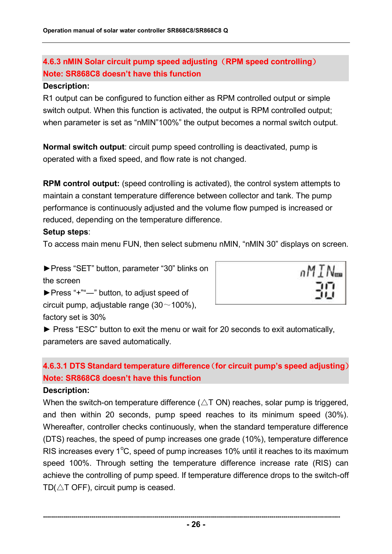# **4.6.3 nMIN Solar circuit pump speed adjusting**(**RPM speed controlling**) **Note: SR868C8 doesn't have this function**

### **Description:**

R1 output can be configured to function either as RPM controlled output or simple switch output. When this function is activated, the output is RPM controlled output; when parameter is set as "nMIN"100%" the output becomes a normal switch output.

**Normal switch output**: circuit pump speed controlling is deactivated, pump is operated with a fixed speed, and flow rate is not changed.

**RPM control output:** (speed controlling is activated), the control system attempts to maintain a constant temperature difference between collector and tank. The pump performance is continuously adjusted and the volume flow pumped is increased or reduced, depending on the temperature difference.

#### **Setup steps**:

To access main menu FUN, then select submenu nMIN, "nMIN 30" displays on screen.

►Press "SET" button, parameter "30" blinks on the screen

►Press "+""―" button, to adjust speed of circuit pump, adjustable range  $(30 \sim 100\%)$ , factory set is 30%



► Press "ESC" button to exit the menu or wait for 20 seconds to exit automatically, parameters are saved automatically.

# **4.6.3.1 DTS Standard temperature difference**(**for circuit pump's speed adjusting**) **Note: SR868C8 doesn't have this function**

#### **Description:**

When the switch-on temperature difference  $(\triangle T \text{ ON})$  reaches, solar pump is triggered, and then within 20 seconds, pump speed reaches to its minimum speed (30%). Whereafter, controller checks continuously, when the standard temperature difference (DTS) reaches, the speed of pump increases one grade (10%), temperature difference RIS increases every  $1^{\circ}$ C, speed of pump increases 10% until it reaches to its maximum speed 100%. Through setting the temperature difference increase rate (RIS) can achieve the controlling of pump speed. If temperature difference drops to the switch-off  $TD(\triangle T$  OFF), circuit pump is ceased.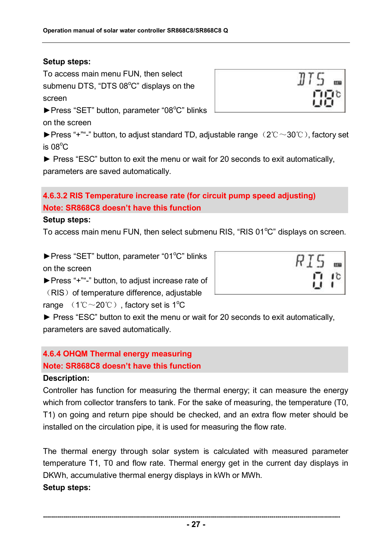### **Setup steps:**

To access main menu FUN, then select submenu DTS, "DTS  $08^{\circ}$ C" displays on the screen

► Press "SET" button, parameter "08°C" blinks on the screen

► Press "+""-" button, to adjust standard TD, adjustable range ( $2^{\circ}\text{C} \sim 30^{\circ}\text{C}$ ), factory set is  $08^{\circ}$ C

► Press "ESC" button to exit the menu or wait for 20 seconds to exit automatically, parameters are saved automatically.

# **4.6.3.2 RIS Temperature increase rate (for circuit pump speed adjusting) Note: SR868C8 doesn't have this function**

#### **Setup steps:**

To access main menu FUN, then select submenu RIS, "RIS 01 $^{\circ}$ C" displays on screen.

► Press "SET" button, parameter "01°C" blinks on the screen

►Press "+""-" button, to adjust increase rate of

(RIS) of temperature difference, adjustable range  $(1^{\circ}\text{C} \sim 20^{\circ}\text{C})$ , factory set is 1 $^{\circ}\text{C}$ 

► Press "ESC" button to exit the menu or wait for 20 seconds to exit automatically, parameters are saved automatically.

# **4.6.4 OHQM Thermal energy measuring Note: SR868C8 doesn't have this function**

#### **Description:**

Controller has function for measuring the thermal energy; it can measure the energy which from collector transfers to tank. For the sake of measuring, the temperature (T0, T1) on going and return pipe should be checked, and an extra flow meter should be installed on the circulation pipe, it is used for measuring the flow rate.

The thermal energy through solar system is calculated with measured parameter temperature T1, T0 and flow rate. Thermal energy get in the current day displays in DKWh, accumulative thermal energy displays in kWh or MWh. **Setup steps:**

**---------------------------------------------------------------------------------------------------------------------------------------------------**



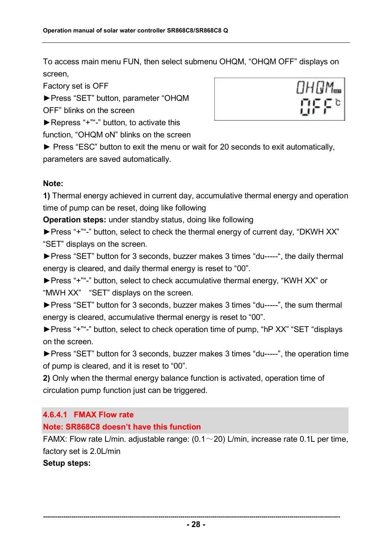To access main menu FUN, then select submenu OHQM, "OHQM OFF" displays on screen,

Factory set is OFF

►Press "SET" button, parameter "OHQM

OFF" blinks on the screen

►Repress "+""-" button, to activate this

function, "OHQM oN" blinks on the screen

► Press "ESC" button to exit the menu or wait for 20 seconds to exit automatically, parameters are saved automatically.

# **Note:**

**1)** Thermal energy achieved in current day, accumulative thermal energy and operation time of pump can be reset, doing like following

**Operation steps:** under standby status, doing like following

►Press "+""-" button, select to check the thermal energy of current day, "DKWH XX" "SET" displays on the screen.

►Press "SET" button for 3 seconds, buzzer makes 3 times "du-----", the daily thermal energy is cleared, and daily thermal energy is reset to "00".

►Press "+""-" button, select to check accumulative thermal energy, "KWH XX" or "MWH XX" "SET" displays on the screen.

►Press "SET" button for 3 seconds, buzzer makes 3 times "du-----", the sum thermal energy is cleared, accumulative thermal energy is reset to "00".

►Press "+""-" button, select to check operation time of pump, "hP XX" "SET "displays on the screen.

►Press "SET" button for 3 seconds, buzzer makes 3 times "du-----", the operation time of pump is cleared, and it is reset to "00".

**2)** Only when the thermal energy balance function is activated, operation time of circulation pump function just can be triggered.

# **4.6.4.1 FMAX Flow rate**

# **Note: SR868C8 doesn't have this function**

FAMX: Flow rate L/min. adjustable range:  $(0.1 \sim 20)$  L/min, increase rate 0.1L per time, factory set is 2.0L/min

# **Setup steps:**

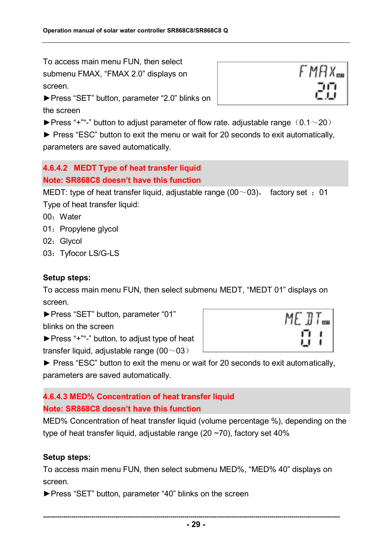To access main menu FUN, then select submenu FMAX, "FMAX 2.0" displays on screen.



 $MF$   $T$   $T_m$ 

►Press "SET" button, parameter "2.0" blinks on the screen

► Press "+""-" button to adjust parameter of flow rate. adjustable range  $(0.1~0.20)$ 

► Press "ESC" button to exit the menu or wait for 20 seconds to exit automatically, parameters are saved automatically.

# **4.6.4.2 MEDT Type of heat transfer liquid Note: SR868C8 doesn't have this function**

MEDT: type of heat transfer liquid, adjustable range  $(00\sim 03)$ , factory set : 01 Type of heat transfer liquid:

- 00: Water
- 01: Propylene glycol
- 02: Glycol
- 03: Tyfocor LS/G-LS

#### **Setup steps:**

To access main menu FUN, then select submenu MEDT, "MEDT 01" displays on screen.

►Press "SET" button, parameter "01"

blinks on the screen

►Press "+""-" button, to adjust type of heat

transfer liquid, adjustable range (00 $\sim$ 03)

► Press "ESC" button to exit the menu or wait for 20 seconds to exit automatically, parameters are saved automatically.

# **4.6.4.3 MED% Concentration of heat transfer liquid Note: SR868C8 doesn't have this function**

MED% Concentration of heat transfer liquid (volume percentage %), depending on the type of heat transfer liquid, adjustable range (20 ~70), factory set 40%

# **Setup steps:**

To access main menu FUN, then select submenu MED%, "MED% 40" displays on screen.

►Press "SET" button, parameter "40" blinks on the screen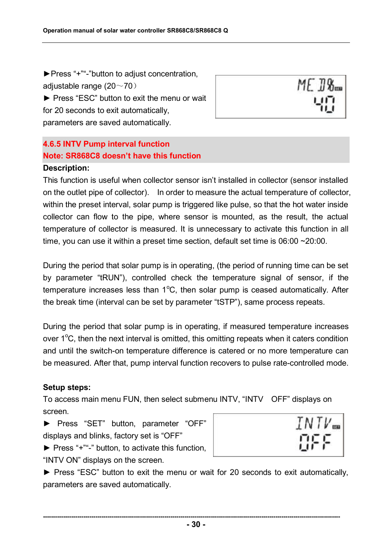►Press "+""-"button to adjust concentration,

adjustable range (20 $\sim$ 70)

► Press "ESC" button to exit the menu or wait

for 20 seconds to exit automatically,

parameters are saved automatically.

# **4.6.5 INTV Pump interval function Note: SR868C8 doesn't have this function**

# **Description:**

This function is useful when collector sensor isn't installed in collector (sensor installed on the outlet pipe of collector). In order to measure the actual temperature of collector, within the preset interval, solar pump is triggered like pulse, so that the hot water inside collector can flow to the pipe, where sensor is mounted, as the result, the actual temperature of collector is measured. It is unnecessary to activate this function in all time, you can use it within a preset time section, default set time is 06:00 ~20:00.

During the period that solar pump is in operating, (the period of running time can be set by parameter "tRUN"), controlled check the temperature signal of sensor, if the temperature increases less than  $1^{\circ}C$ , then solar pump is ceased automatically. After the break time (interval can be set by parameter "tSTP"), same process repeats.

During the period that solar pump is in operating, if measured temperature increases over  $1^{\circ}C$ , then the next interval is omitted, this omitting repeats when it caters condition and until the switch-on temperature difference is catered or no more temperature can be measured. After that, pump interval function recovers to pulse rate-controlled mode.

# **Setup steps:**

To access main menu FUN, then select submenu INTV, "INTV OFF" displays on screen.

► Press "SET" button, parameter "OFF" displays and blinks, factory set is "OFF"



► Press "+""-" button, to activate this function, "INTV ON" displays on the screen.

► Press "ESC" button to exit the menu or wait for 20 seconds to exit automatically, parameters are saved automatically.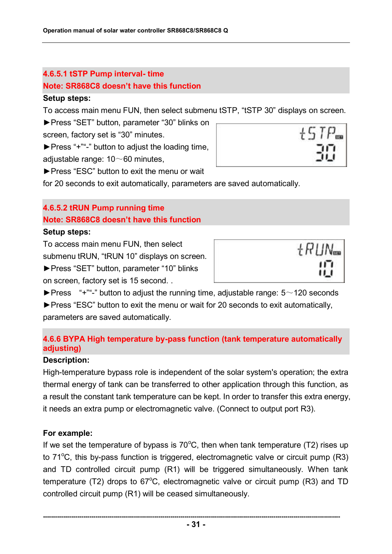# **4.6.5.1 tSTP Pump interval- time**

#### **Note: SR868C8 doesn't have this function**

#### **Setup steps:**

To access main menu FUN, then select submenu tSTP, "tSTP 30" displays on screen.

►Press "SET" button, parameter "30" blinks on screen, factory set is "30" minutes.

►Press "+""-" button to adjust the loading time, adjustable range:  $10\neg 60$  minutes,



►Press "ESC" button to exit the menu or wait

for 20 seconds to exit automatically, parameters are saved automatically.

# **4.6.5.2 tRUN Pump running time**

**Note: SR868C8 doesn't have this function**

#### **Setup steps:**

To access main menu FUN, then select submenu tRUN, "tRUN 10" displays on screen.

►Press "SET" button, parameter "10" blinks

on screen, factory set is 15 second. .



- ► Press  $*$  "+"<sup>"-"</sup> button to adjust the running time, adjustable range:  $5 \sim 120$  seconds
- ►Press "ESC" button to exit the menu or wait for 20 seconds to exit automatically, parameters are saved automatically.

# **4.6.6 BYPA High temperature by-pass function (tank temperature automatically adjusting)**

# **Description:**

High-temperature bypass role is independent of the solar system's operation; the extra thermal energy of tank can be transferred to other application through this function, as a result the constant tank temperature can be kept. In order to transfer this extra energy, it needs an extra pump or electromagnetic valve. (Connect to output port R3).

# **For example:**

If we set the temperature of bypass is  $70^{\circ}$ C, then when tank temperature (T2) rises up to  $71^{\circ}$ C, this by-pass function is triggered, electromagnetic valve or circuit pump (R3) and TD controlled circuit pump (R1) will be triggered simultaneously. When tank temperature (T2) drops to  $67^{\circ}$ C, electromagnetic valve or circuit pump (R3) and TD controlled circuit pump (R1) will be ceased simultaneously.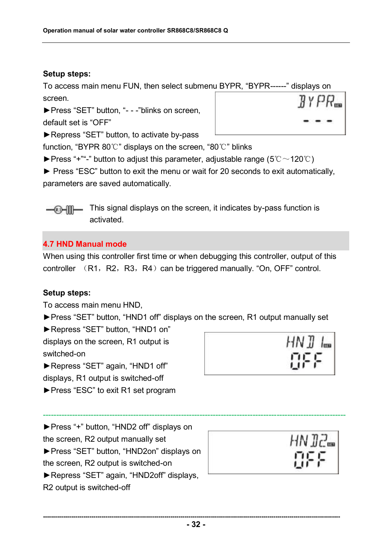### **Setup steps:**

To access main menu FUN, then select submenu BYPR, "BYPR------" displays on screen.

►Press "SET" button, "- - -"blinks on screen, default set is "OFF"



►Repress "SET" button, to activate by-pass

function, "BYPR 80℃" displays on the screen, "80℃" blinks

► Press "+""-" button to adjust this parameter, adjustable range ( $5^{\circ}$   $\sim$  120 $^{\circ}$ C)

► Press "ESC" button to exit the menu or wait for 20 seconds to exit automatically, parameters are saved automatically.

 $\frac{1}{\sqrt{2}}$  This signal displays on the screen, it indicates by-pass function is activated.

# **4.7 HND Manual mode**

When using this controller first time or when debugging this controller, output of this controller  $(R1, R2, R3, R4)$  can be triggered manually. "On, OFF" control.

# **Setup steps:**

To access main menu HND,

►Press "SET" button, "HND1 off" displays on the screen, R1 output manually set

►Repress "SET" button, "HND1 on" displays on the screen, R1 output is switched-on

►Repress "SET" again, "HND1 off" displays, R1 output is switched-off

►Press "ESC" to exit R1 set program

►Press "+" button, "HND2 off" displays on the screen, R2 output manually set ►Press "SET" button, "HND2on" displays on the screen, R2 output is switched-on ►Repress "SET" again, "HND2off" displays, R2 output is switched-off



**--------------------------------------------------------------------------------------------------------------------------------------------------- - 32 -**

------------------------------------------------------------------------------------------------------------------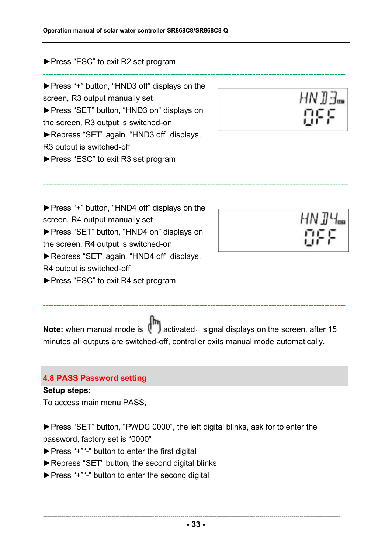#### ►Press "ESC" to exit R2 set program

►Press "+" button, "HND3 off" displays on the screen, R3 output manually set ►Press "SET" button, "HND3 on" displays on the screen, R3 output is switched-on ►Repress "SET" again, "HND3 off" displays, R3 output is switched-off

►Press "ESC" to exit R3 set program



►Press "+" button, "HND4 off" displays on the screen, R4 output manually set ►Press "SET" button, "HND4 on" displays on the screen, R4 output is switched-on ►Repress "SET" again, "HND4 off" displays, R4 output is switched-off





Note: when manual mode is **a complete contract in activated**, signal displays on the screen, after 15 minutes all outputs are switched-off, controller exits manual mode automatically.

------------------------------------------------------------------------------------------------------------------

------------------------------------------------------------------------------------------------------------------

-------------------------------------------------------------------------------------------------------------------

# **4.8 PASS Password setting**

#### **Setup steps:**

To access main menu PASS,

►Press "SET" button, "PWDC 0000", the left digital blinks, ask for to enter the password, factory set is "0000"

- ►Press "+""-" button to enter the first digital
- ►Repress "SET" button, the second digital blinks
- ►Press "+""-" button to enter the second digital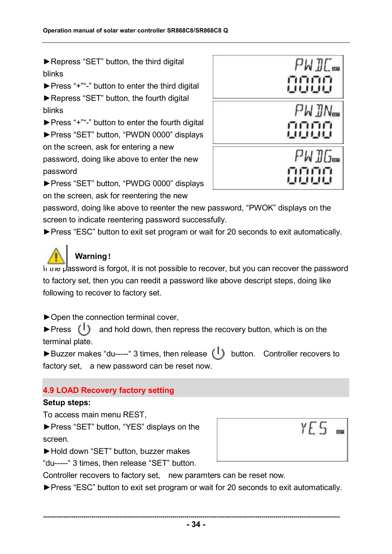►Repress "SET" button, the third digital blinks

- ►Press "+""-" button to enter the third digital ►Repress "SET" button, the fourth digital blinks
- ►Press "+""-" button to enter the fourth digital ►Press "SET" button, "PWDN 0000" displays on the screen, ask for entering a new password, doing like above to enter the new password
- ►Press "SET" button, "PWDG 0000" displays on the screen, ask for reentering the new



password, doing like above to reenter the new password, "PWOK" displays on the screen to indicate reentering password successfully.

►Press "ESC" button to exit set program or wait for 20 seconds to exit automatically.



# **Warning**!

If the password is forgot, it is not possible to recover, but you can recover the password to factory set, then you can reedit a password like above descript steps, doing like following to recover to factory set.

►Open the connection terminal cover,

 $\blacktriangleright$  Press  $(1)$  and hold down, then repress the recovery button, which is on the terminal plate.

► Buzzer makes "du-----" 3 times, then release ( i) button. Controller recovers to factory set, a new password can be reset now.

# **4.9 LOAD Recovery factory setting**

# **Setup steps:**

To access main menu REST,

►Press "SET" button, "YES" displays on the screen.

y F 5 सका

►Hold down "SET" button, buzzer makes

"du-----" 3 times, then release "SET" button.

Controller recovers to factory set, new paramters can be reset now.

►Press "ESC" button to exit set program or wait for 20 seconds to exit automatically.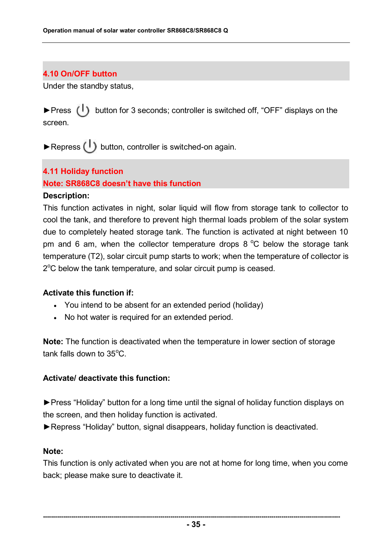# **4.10 On/OFF button**

Under the standby status,

▶Press ( ) button for 3 seconds; controller is switched off, "OFF" displays on the screen.

 $\blacktriangleright$  Repress  $(\cdot)$  button, controller is switched-on again.

# **4.11 Holiday function**

#### **Note: SR868C8 doesn't have this function**

#### **Description:**

This function activates in night, solar liquid will flow from storage tank to collector to cool the tank, and therefore to prevent high thermal loads problem of the solar system due to completely heated storage tank. The function is activated at night between 10 pm and 6 am, when the collector temperature drops 8  $^{\circ}$ C below the storage tank temperature (T2), solar circuit pump starts to work; when the temperature of collector is 2<sup>o</sup>C below the tank temperature, and solar circuit pump is ceased.

# **Activate this function if:**

- You intend to be absent for an extended period (holiday)
- No hot water is required for an extended period.

**Note:** The function is deactivated when the temperature in lower section of storage tank falls down to  $35^{\circ}$ C.

# **Activate/ deactivate this function:**

►Press "Holiday" button for a long time until the signal of holiday function displays on the screen, and then holiday function is activated.

►Repress "Holiday" button, signal disappears, holiday function is deactivated.

#### **Note:**

This function is only activated when you are not at home for long time, when you come back; please make sure to deactivate it.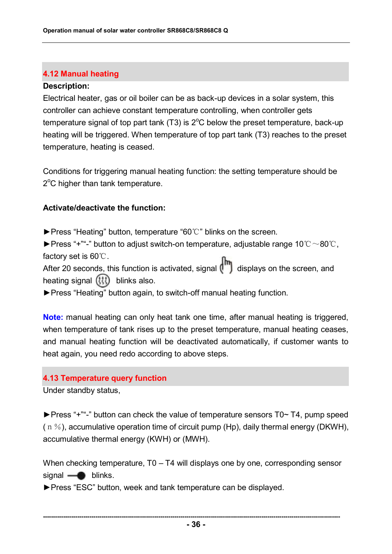# **4.12 Manual heating**

#### **Description:**

Electrical heater, gas or oil boiler can be as back-up devices in a solar system, this controller can achieve constant temperature controlling, when controller gets temperature signal of top part tank  $(T3)$  is  $2^{\circ}$ C below the preset temperature, back-up heating will be triggered. When temperature of top part tank (T3) reaches to the preset temperature, heating is ceased.

Conditions for triggering manual heating function: the setting temperature should be 2<sup>o</sup>C higher than tank temperature.

### **Activate/deactivate the function:**

►Press "Heating" button, temperature "60℃" blinks on the screen.

► Press "+""-" button to adjust switch-on temperature, adjustable range  $10^{\circ}\text{C} \sim 80^{\circ}\text{C}$ , factory set is 60℃.

After 20 seconds, this function is activated, signal  $\binom{n}{k}$  displays on the screen, and heating signal  $(\mathfrak{t}\mathfrak{t}\mathfrak{t})$  blinks also.

►Press "Heating" button again, to switch-off manual heating function.

**Note:** manual heating can only heat tank one time, after manual heating is triggered, when temperature of tank rises up to the preset temperature, manual heating ceases, and manual heating function will be deactivated automatically, if customer wants to heat again, you need redo according to above steps.

#### **4.13 Temperature query function**

Under standby status,

►Press "+""-" button can check the value of temperature sensors T0~ T4, pump speed (n  $\%$ ), accumulative operation time of circuit pump (Hp), daily thermal energy (DKWH), accumulative thermal energy (KWH) or (MWH).

When checking temperature, T0 – T4 will displays one by one, corresponding sensor signal **blinks**.

►Press "ESC" button, week and tank temperature can be displayed.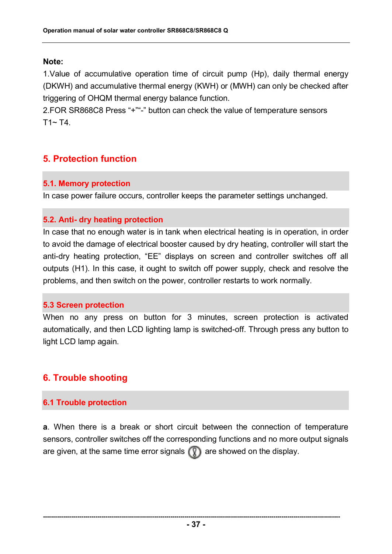### **Note:**

1.Value of accumulative operation time of circuit pump (Hp), daily thermal energy (DKWH) and accumulative thermal energy (KWH) or (MWH) can only be checked after triggering of OHQM thermal energy balance function.

2.FOR SR868C8 Press "+""-" button can check the value of temperature sensors  $T1~T4$ 

# **5. Protection function**

### **5.1. Memory protection**

In case power failure occurs, controller keeps the parameter settings unchanged.

# **5.2. Anti- dry heating protection**

In case that no enough water is in tank when electrical heating is in operation, in order to avoid the damage of electrical booster caused by dry heating, controller will start the anti-dry heating protection, "EE" displays on screen and controller switches off all outputs (H1). In this case, it ought to switch off power supply, check and resolve the problems, and then switch on the power, controller restarts to work normally.

# **5.3 Screen protection**

When no any press on button for 3 minutes, screen protection is activated automatically, and then LCD lighting lamp is switched-off. Through press any button to light LCD lamp again.

# **6. Trouble shooting**

# **6.1 Trouble protection**

**a**. When there is a break or short circuit between the connection of temperature sensors, controller switches off the corresponding functions and no more output signals are given, at the same time error signals  $\mathbb{Q}$  are showed on the display.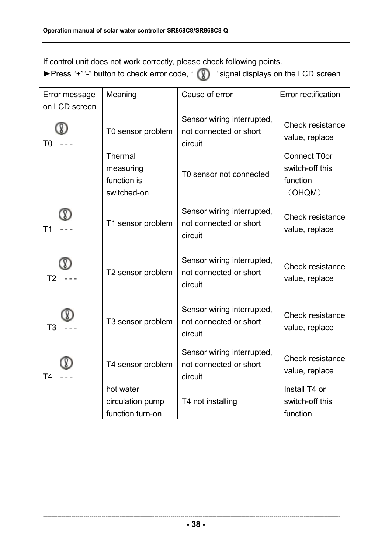If control unit does not work correctly, please check following points.

► Press "+""-" button to check error code, " <sup>1</sup> signal displays on the LCD screen

| Error message  | Meaning                                            | Cause of error                                                  | <b>Error rectification</b>                            |
|----------------|----------------------------------------------------|-----------------------------------------------------------------|-------------------------------------------------------|
| on LCD screen  |                                                    |                                                                 |                                                       |
| T0             | T0 sensor problem                                  | Sensor wiring interrupted,<br>not connected or short<br>circuit | Check resistance<br>value, replace                    |
|                | Thermal<br>measuring<br>function is<br>switched-on | T0 sensor not connected                                         | Connect T0or<br>switch-off this<br>function<br>(OHQM) |
| T <sub>1</sub> | T1 sensor problem                                  | Sensor wiring interrupted,<br>not connected or short<br>circuit | Check resistance<br>value, replace                    |
| T2             | T2 sensor problem                                  | Sensor wiring interrupted,<br>not connected or short<br>circuit | Check resistance<br>value, replace                    |
| T3             | T3 sensor problem                                  | Sensor wiring interrupted,<br>not connected or short<br>circuit | Check resistance<br>value, replace                    |
| T <sub>4</sub> | T4 sensor problem                                  | Sensor wiring interrupted,<br>not connected or short<br>circuit | Check resistance<br>value, replace                    |
|                | hot water<br>circulation pump<br>function turn-on  | T4 not installing                                               | Install T4 or<br>switch-off this<br>function          |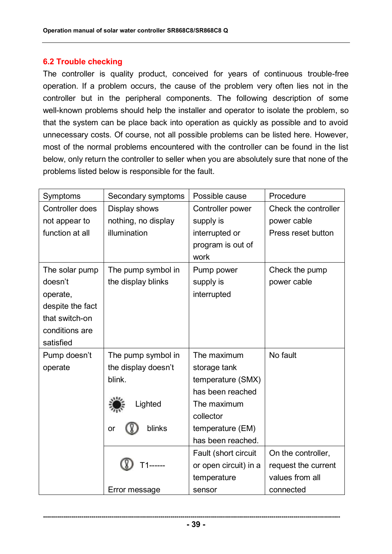# **6.2 Trouble checking**

The controller is quality product, conceived for years of continuous trouble-free operation. If a problem occurs, the cause of the problem very often lies not in the controller but in the peripheral components. The following description of some well-known problems should help the installer and operator to isolate the problem, so that the system can be place back into operation as quickly as possible and to avoid unnecessary costs. Of course, not all possible problems can be listed here. However, most of the normal problems encountered with the controller can be found in the list below, only return the controller to seller when you are absolutely sure that none of the problems listed below is responsible for the fault.

| Symptoms         | Secondary symptoms  | Possible cause        | Procedure            |
|------------------|---------------------|-----------------------|----------------------|
| Controller does  | Display shows       | Controller power      | Check the controller |
| not appear to    | nothing, no display | supply is             | power cable          |
| function at all  | illumination        | interrupted or        | Press reset button   |
|                  |                     | program is out of     |                      |
|                  |                     | work                  |                      |
| The solar pump   | The pump symbol in  | Pump power            | Check the pump       |
| doesn't          | the display blinks  | supply is             | power cable          |
| operate,         |                     | interrupted           |                      |
| despite the fact |                     |                       |                      |
| that switch-on   |                     |                       |                      |
| conditions are   |                     |                       |                      |
| satisfied        |                     |                       |                      |
| Pump doesn't     | The pump symbol in  | The maximum           | No fault             |
| operate          | the display doesn't | storage tank          |                      |
|                  | blink.              | temperature (SMX)     |                      |
|                  |                     | has been reached      |                      |
|                  | Lighted             | The maximum           |                      |
|                  |                     | collector             |                      |
|                  | blinks<br>or        | temperature (EM)      |                      |
|                  |                     | has been reached.     |                      |
|                  |                     | Fault (short circuit  | On the controller,   |
|                  |                     | or open circuit) in a | request the current  |
|                  |                     | temperature           | values from all      |
|                  | Error message       | sensor                | connected            |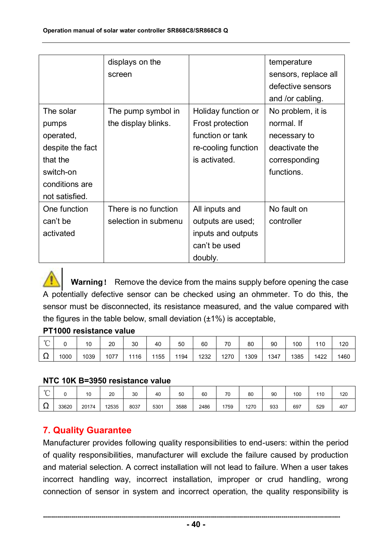|                  | displays on the      |                     | temperature          |
|------------------|----------------------|---------------------|----------------------|
|                  | screen               |                     | sensors, replace all |
|                  |                      |                     | defective sensors    |
|                  |                      |                     | and /or cabling.     |
| The solar        | The pump symbol in   | Holiday function or | No problem, it is    |
| pumps            | the display blinks.  | Frost protection    | normal. If           |
| operated,        |                      | function or tank    | necessary to         |
| despite the fact |                      | re-cooling function | deactivate the       |
| that the         |                      | is activated.       | corresponding        |
| switch-on        |                      |                     | functions.           |
| conditions are   |                      |                     |                      |
| not satisfied.   |                      |                     |                      |
| One function     | There is no function | All inputs and      | No fault on          |
| can't be         | selection in submenu | outputs are used;   | controller           |
| activated        |                      | inputs and outputs  |                      |
|                  |                      | can't be used       |                      |
|                  |                      | doubly.             |                      |

**Warning**! Remove the device from the mains supply before opening the case A potentially defective sensor can be checked using an ohmmeter. To do this, the sensor must be disconnected, its resistance measured, and the value compared with the figures in the table below, small deviation  $(\pm 1\%)$  is acceptable,

#### **PT1000 resistance value**

| $\sim$<br>$\checkmark$ |      | 10   | 20   | 30   | 40   | 50   | 60   | 70   | 80   | 90   | 100  | 110  | 120  |
|------------------------|------|------|------|------|------|------|------|------|------|------|------|------|------|
| 77                     | 1000 | 1039 | 1077 | 1116 | 1155 | 1194 | 1232 | 1270 | 1309 | 1347 | 1385 | 1422 | 1460 |

#### **NTC 10K B=3950 resistance value**

| $\sim$<br>◡ |       | 10    | 20    | 30   | 40   | 50   | 60   | 70  | 80   | 90  | 100 | 110 | 120 |
|-------------|-------|-------|-------|------|------|------|------|-----|------|-----|-----|-----|-----|
| ▵▴          | 33620 | 20174 | 12535 | 8037 | 5301 | 3588 | 2486 | 759 | 1270 | 933 | 697 | 529 | 407 |

# **7. Quality Guarantee**

Manufacturer provides following quality responsibilities to end-users: within the period of quality responsibilities, manufacturer will exclude the failure caused by production and material selection. A correct installation will not lead to failure. When a user takes incorrect handling way, incorrect installation, improper or crud handling, wrong connection of sensor in system and incorrect operation, the quality responsibility is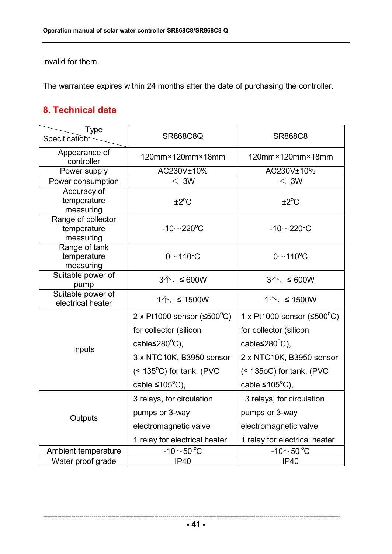invalid for them.

The warrantee expires within 24 months after the date of purchasing the controller.

# **8. Technical data**

| <b>Type</b><br>Specification                   | <b>SR868C8Q</b>                              | <b>SR868C8</b>                               |  |  |
|------------------------------------------------|----------------------------------------------|----------------------------------------------|--|--|
| Appearance of<br>controller                    | 120mm×120mm×18mm                             | 120mm×120mm×18mm                             |  |  |
| Power supply                                   | AC230V±10%                                   | AC230V±10%                                   |  |  |
| Power consumption                              | $<$ 3W                                       | $<$ 3W                                       |  |  |
| Accuracy of<br>temperature<br>measuring        | $\pm 2^{\circ}$ C                            | $\pm 2^{\circ}$ C                            |  |  |
| Range of collector<br>temperature<br>measuring | -10 $\sim$ 220 $\mathrm{^oC}$                | $-10 - 220$ °C                               |  |  |
| Range of tank<br>temperature<br>measuring      | $0$ ~110 $^{\circ}$ C                        | $0 - 110^{\circ}C$                           |  |  |
| Suitable power of<br>pump                      | $3^{\text{A}}$ , $\leq 600W$                 | $3^{\text{A}}$ , $\leq 600W$                 |  |  |
| Suitable power of<br>electrical heater         | 1个, ≤ 1500W                                  | 1个, ≤ 1500W                                  |  |  |
|                                                | 2 x Pt1000 sensor ( $\leq$ 500 $^{\circ}$ C) | 1 x Pt1000 sensor ( $\leq$ 500 $^{\circ}$ C) |  |  |
|                                                | for collector (silicon                       | for collector (silicon                       |  |  |
| Inputs                                         | cable $\leq$ 280 $^{\circ}$ C),              | cable≤280°C),                                |  |  |
|                                                | 3 x NTC10K, B3950 sensor                     | 2 x NTC10K, B3950 sensor                     |  |  |
|                                                | $($ ≤ 135 $^{\circ}$ C) for tank, (PVC       | (≤ 135oC) for tank, (PVC                     |  |  |
|                                                | cable $\leq 105^{\circ}$ C),                 | cable $\leq 105^{\circ}$ C),                 |  |  |
|                                                | 3 relays, for circulation                    | 3 relays, for circulation                    |  |  |
| Outputs                                        | pumps or 3-way                               | pumps or 3-way                               |  |  |
|                                                | electromagnetic valve                        | electromagnetic valve                        |  |  |
|                                                | 1 relay for electrical heater                | 1 relay for electrical heater                |  |  |
| Ambient temperature                            | -10 $\sim$ 50 $^{\circ}$ C                   | $-10$ ~50 $^{\circ}$ C                       |  |  |
| Water proof grade                              | <b>IP40</b>                                  | <b>IP40</b>                                  |  |  |

**---------------------------------------------------------------------------------------------------------------------------------------------------**